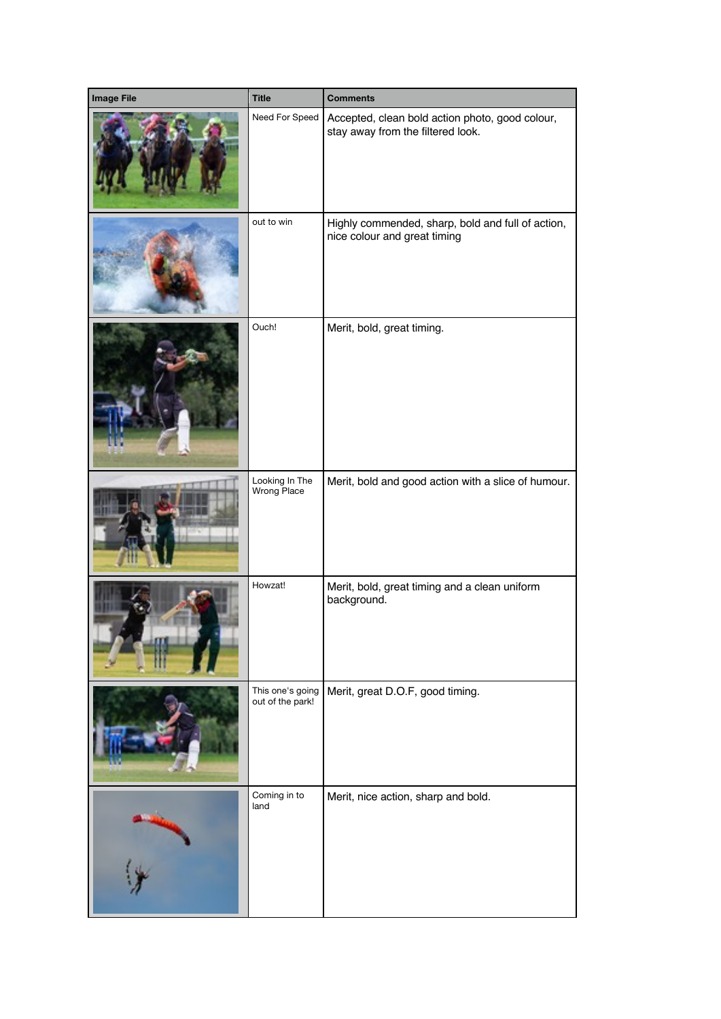| <b>Image File</b> | <b>Title</b>                         | <b>Comments</b>                                                                      |
|-------------------|--------------------------------------|--------------------------------------------------------------------------------------|
|                   | Need For Speed                       | Accepted, clean bold action photo, good colour,<br>stay away from the filtered look. |
|                   | out to win                           | Highly commended, sharp, bold and full of action,<br>nice colour and great timing    |
|                   | Ouch!                                | Merit, bold, great timing.                                                           |
|                   | Looking In The<br>Wrong Place        | Merit, bold and good action with a slice of humour.                                  |
|                   | Howzat!                              | Merit, bold, great timing and a clean uniform<br>background.                         |
|                   | This one's going<br>out of the park! | Merit, great D.O.F, good timing.                                                     |
|                   | Coming in to<br>land                 | Merit, nice action, sharp and bold.                                                  |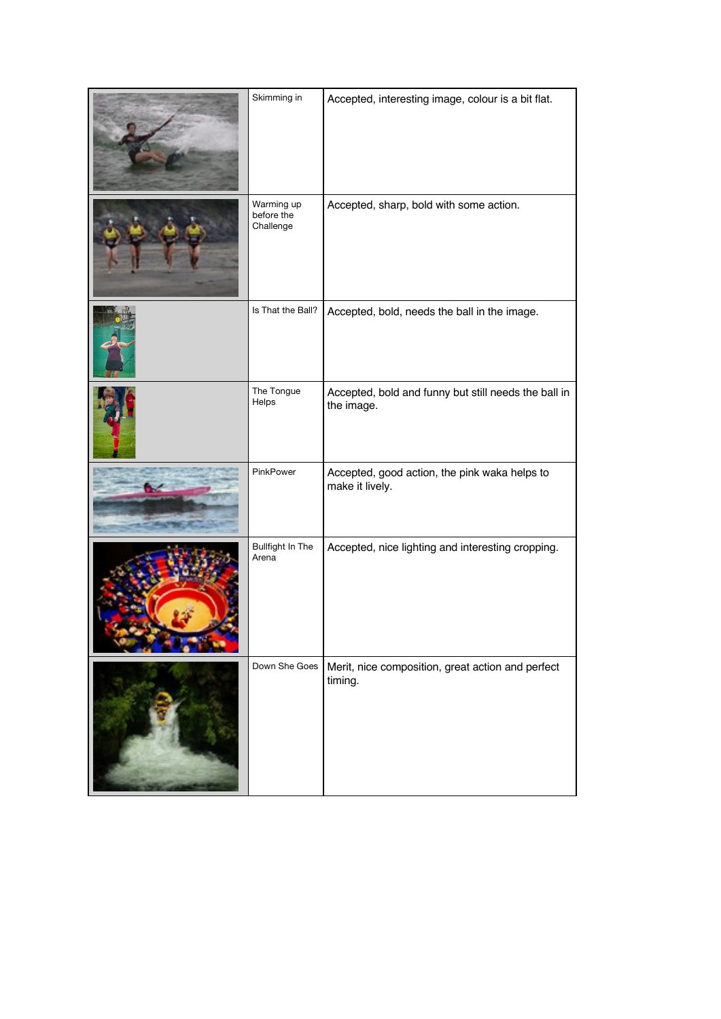| Skimming in                           | Accepted, interesting image, colour is a bit flat.                 |
|---------------------------------------|--------------------------------------------------------------------|
| Warming up<br>before the<br>Challenge | Accepted, sharp, bold with some action.                            |
| Is That the Ball?                     | Accepted, bold, needs the ball in the image.                       |
| The Tongue<br>Helps                   | Accepted, bold and funny but still needs the ball in<br>the image. |
| PinkPower                             | Accepted, good action, the pink waka helps to<br>make it lively.   |
| Bullfight In The<br>Arena             | Accepted, nice lighting and interesting cropping.                  |
| Down She Goes                         | Merit, nice composition, great action and perfect<br>timing.       |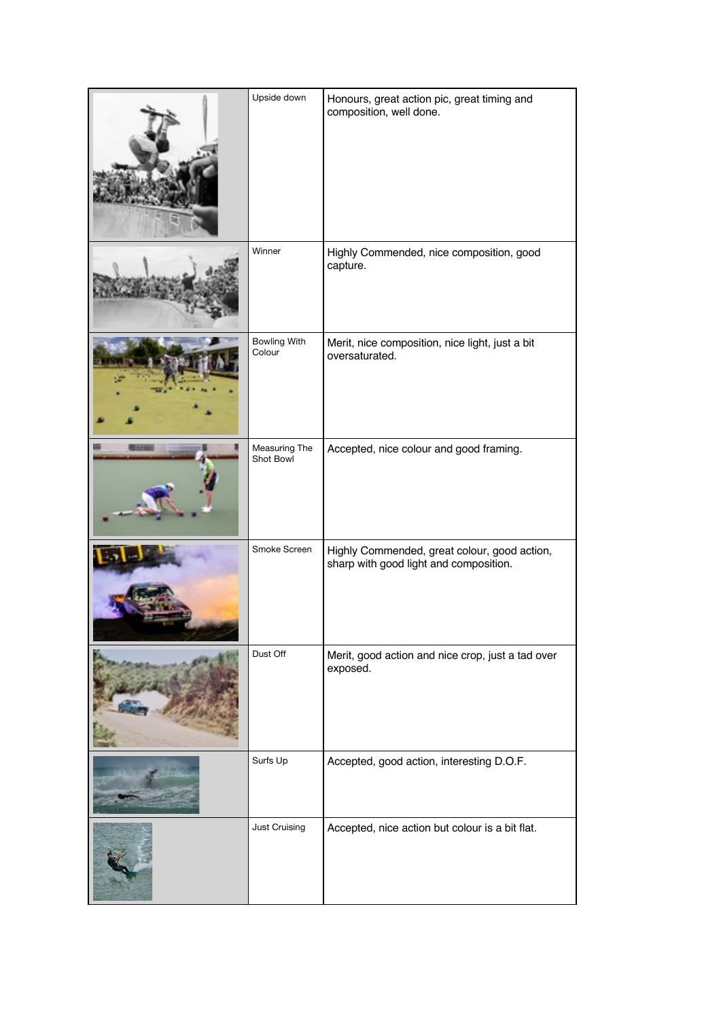| Upside down                   | Honours, great action pic, great timing and<br>composition, well done.                 |
|-------------------------------|----------------------------------------------------------------------------------------|
| Winner                        | Highly Commended, nice composition, good<br>capture.                                   |
| <b>Bowling With</b><br>Colour | Merit, nice composition, nice light, just a bit<br>oversaturated.                      |
| Measuring The<br>Shot Bowl    | Accepted, nice colour and good framing.                                                |
| Smoke Screen                  | Highly Commended, great colour, good action,<br>sharp with good light and composition. |
| Dust Off                      | Merit, good action and nice crop, just a tad over<br>exposed.                          |
| Surfs Up                      | Accepted, good action, interesting D.O.F.                                              |
| Just Cruising                 | Accepted, nice action but colour is a bit flat.                                        |